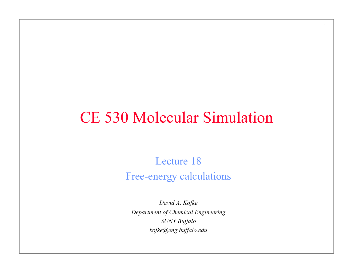## CE 530 Molecular Simulation

1

Lecture 18 Free-energy calculations

*David A. Kofke Department of Chemical Engineering SUNY Buffalo kofke@eng.buffalo.edu*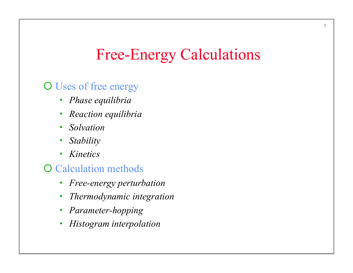## Free-Energy Calculations

#### O Uses of free energy

- *Phase equilibria*
- *Reaction equilibria*
- *Solvation*
- *Stability*
- *Kinetics*

#### **O** Calculation methods

- *Free-energy perturbation*
- *Thermodynamic integration*
- *Parameter-hopping*
- *Histogram interpolation*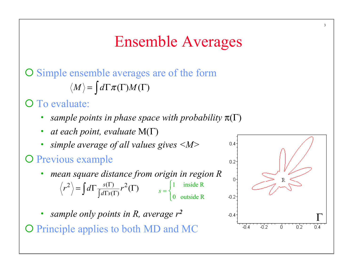## Ensemble Averages

### O Simple ensemble averages are of the form  $\langle M \rangle = \int d\Gamma \pi(\Gamma) M(\Gamma)$

#### O To evaluate:

- *sample points in phase space with probability*  $\pi(\Gamma)$
- *at each point, evaluate* M(Γ)
- *simple average of all values gives <M>*

### O Previous example

- *mean square distance from origin in region R*   $\left\langle \frac{1}{2} \right\rangle = \int d\Gamma \frac{s(\Gamma)}{\int d\Gamma s(\Gamma)} r^2(\Gamma)$  $r^2$  =  $\int d\Gamma \frac{s(\Gamma)}{\int d\Gamma}$   $r$  $=\int d\Gamma \frac{s(\Gamma)}{\int d\Gamma s(\Gamma)} r^2(\Gamma)$   $s = \begin{cases} 1 & \text{inside R} \\ 0 & \text{outside R} \end{cases}$ 0 outside R  $\overline{\mathcal{L}}$
- *sample only points in R, average r<sup>2</sup>*

O Principle applies to both MD and MC

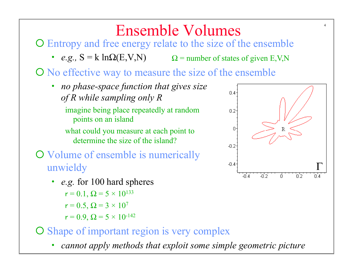## Ensemble Volumes

¡ Entropy and free energy relate to the size of the ensemble

• *e.g.*,  $S = k \ln\Omega(E, V, N)$   $\Omega =$  number of states of given E,V,N

¡ No effective way to measure the size of the ensemble

• *no phase-space function that gives size of R while sampling only R* 

imagine being place repeatedly at random points on an island

what could you measure at each point to determine the size of the island?

- O Volume of ensemble is numerically unwieldy
	- *e.g.* for 100 hard spheres

$$
r = 0.1, \Omega = 5 \times 10^{133}
$$

$$
r=0.5,\,\Omega=3\times 10^7
$$

 $r = 0.9$ ,  $\Omega = 5 \times 10^{-142}$ 

- O Shape of important region is very complex
	- *cannot apply methods that exploit some simple geometric picture*

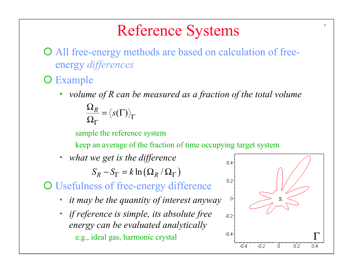## Reference Systems

¡ All free-energy methods are based on calculation of freeenergy *differences*

### O Example

• *volume of R can be measured as a fraction of the total volume*   $\frac{R}{I} = \langle s(\Gamma) \rangle_{\Gamma}$ Γ  $\Omega$  $=\langle s(\Gamma$  $\Omega$ 

sample the reference system

keep an average of the fraction of time occupying target system

• *what we get is the difference* 

 $S_R - S_\Gamma = k \ln \left( \Omega_R / \Omega_\Gamma \right)$ 

### O Usefulness of free-energy difference

- *it may be the quantity of interest anyway*
- *if reference is simple, its absolute free energy can be evaluated analytically*  e.g., ideal gas, harmonic crystal <sup>-0.4</sup>

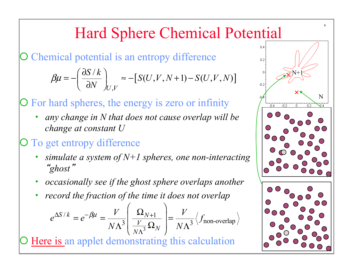# Hard Sphere Chemical Potential

Chemical potential is an entropy difference

$$
\beta \mu = -\left(\frac{\partial S/k}{\partial N}\right)_{U,V} \approx -\left[S(U,V,N+1) - S(U,V,N)\right]
$$

For hard spheres, the energy is zero or infinity

• *any change in N that does not cause overlap will be change at constant U* 

### To get entropy difference

- *simulate a system of N+1 spheres, one non-interacting*  "*ghost*"
- *occasionally see if the ghost sphere overlaps another*
- *record the fraction of the time it does not overlap*

$$
e^{\Delta S/k} = e^{-\beta \mu} = \frac{V}{N\Lambda^3} \left( \frac{\Omega_{N+1}}{\frac{V}{N\Lambda^3}} \right) = \frac{V}{N\Lambda^3} \left\langle f_{\text{non-overlap}} \right\rangle
$$

Here is an applet demonstrating this calculation

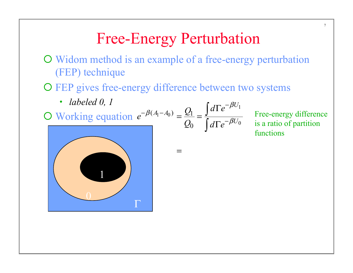¡ Widom method is an example of a free-energy perturbation (FEP) technique

=

O FEP gives free-energy difference between two systems

• *labeled 0, 1* 

$$
\frac{\text{I}}{\text{O Working equation}} e^{-\beta(A_1 - A_0)} = \frac{Q_1}{Q_0} = \frac{\int d\Gamma e^{-\beta U_1}}{\int d\Gamma e^{-\beta U_0}}
$$

Free-energy difference is a ratio of partition functions

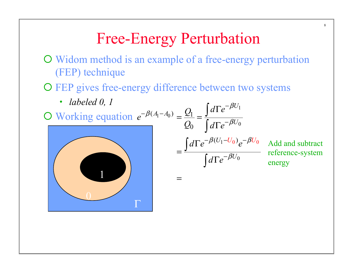¡ Widom method is an example of a free-energy perturbation (FEP) technique

O FEP gives free-energy difference between two systems

Γ



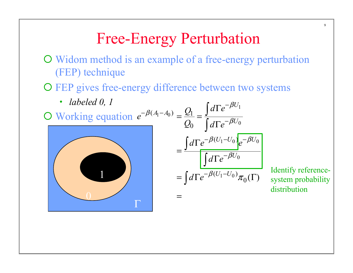¡ Widom method is an example of a free-energy perturbation (FEP) technique

O FEP gives free-energy difference between two systems



system probability distribution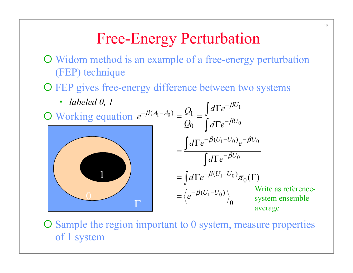¡ Widom method is an example of a free-energy perturbation (FEP) technique

O FEP gives free-energy difference between two systems



O Sample the region important to 0 system, measure properties of 1 system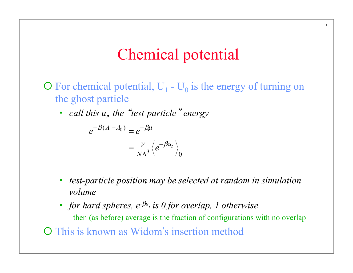### Chemical potential

- $\overline{O}$  For chemical potential,  $U_1$   $U_0$  is the energy of turning on the ghost particle
	- *call this*  $u_t$  *the "test-particle" energy*

$$
e^{-\beta(A_1 - A_0)} = e^{-\beta\mu}
$$
  
=  $\frac{V}{N\Lambda^3} \langle e^{-\beta u_t} \rangle_0$ 

- *test-particle position may be selected at random in simulation volume*
- *for hard spheres,*  $e^{-\beta u_t}$  *is 0 for overlap, 1 otherwise* then (as before) average is the fraction of configurations with no overlap O This is known as Widom's insertion method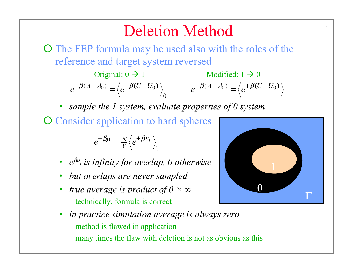## Deletion Method

¡ The FEP formula may be used also with the roles of the reference and target system reversed

 $(A_1 - A_0) = \sqrt{e^{-\beta (U_1 - U_0)}}$  $\boldsymbol{0}$  $e^{-\beta(A_1-A_0)} = \langle e^{-\beta(U_1-U_0)} \rangle$   $e^{+\beta(A_1-A_0)} = \langle e^{+\beta(U_1-U_0)} \rangle$  $e^{+\beta(A_1-A_0)} = \langle e^{+\beta(U_1-U_1)} \rangle$ Original:  $0 \rightarrow 1$  Modified:  $1 \rightarrow 0$ 

• *sample the 1 system, evaluate properties of 0 system* 

O Consider application to hard spheres

1  $e^{+\beta \mu} = \frac{N}{V}\Bigl\langle e^{+\beta u_t}\Bigr\rangle$ 

- *e*β*ut is infinity for overlap, 0 otherwise*
- *but overlaps are never sampled*
- *true average is product of 0 × ∞* technically, formula is correct
- *in practice simulation average is always zero*  method is flawed in application many times the flaw with deletion is not as obvious as this

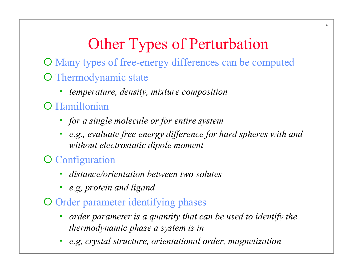# Other Types of Perturbation

¡ Many types of free-energy differences can be computed O Thermodynamic state

• *temperature, density, mixture composition* 

### **O** Hamiltonian

- *for a single molecule or for entire system*
- *e.g., evaluate free energy difference for hard spheres with and without electrostatic dipole moment*

### O Configuration

- *distance/orientation between two solutes*
- *e.g, protein and ligand*
- O Order parameter identifying phases
	- *order parameter is a quantity that can be used to identify the thermodynamic phase a system is in*
	- *e.g, crystal structure, orientational order, magnetization*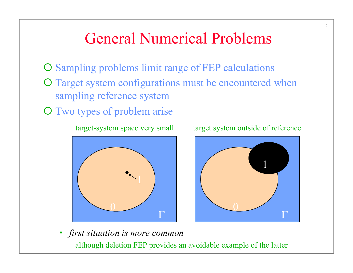### General Numerical Problems

- O Sampling problems limit range of FEP calculations O Target system configurations must be encountered when
	- sampling reference system
- O Two types of problem arise

target-system space very small



target system outside of reference



• *first situation is more common*  although deletion FEP provides an avoidable example of the latter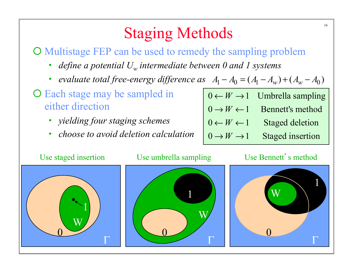## Staging Methods

¡ Multistage FEP can be used to remedy the sampling problem

- *define a potential*  $U_w$  intermediate between 0 and 1 systems
- *evaluate total free-energy difference as*  $A_1 A_0 = (A_1 A_w) + (A_w A_0)$

O Each stage may be sampled in either direction

- *yielding four staging schemes*
- *choose to avoid deletion calculation*

|                                | $0 \leftarrow W \rightarrow 1$ Umbrella sampling |
|--------------------------------|--------------------------------------------------|
| $0 \rightarrow W \leftarrow 1$ | Bennett's method                                 |
| $0 \leftarrow W \leftarrow 1$  | <b>Staged deletion</b>                           |

$$
0 \to W \to 1
$$
 Staged insertion





1

0

Γ

W

#### Use Bennett's method

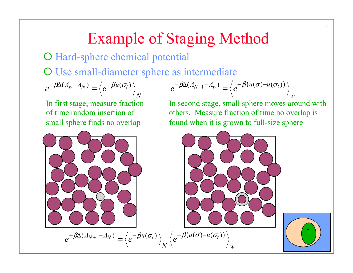## Example of Staging Method

### O Hard-sphere chemical potential

O Use small-diameter sphere as intermediate

$$
e^{-\beta \Delta (A_w - A_N)} = \left\langle e^{-\beta u(\sigma_t)} \right\rangle_N
$$

In first stage, measure fraction of time random insertion of small sphere finds no overlap

$$
e^{-\beta \Delta (A_{N+1}-A_w)} = \left\langle e^{-\beta (u(\sigma)-u(\sigma_t))} \right\rangle_w
$$

In second stage, small sphere moves around with others. Measure fraction of time no overlap is found when it is grown to full-size sphere

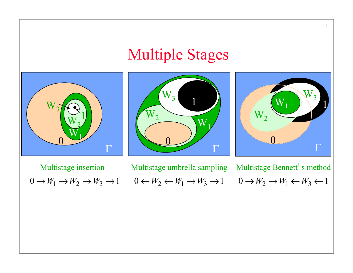#### Multiple Stages Γ 0 1  $\widetilde{\mathsf{W}}_1$  $\overline{\mathsf{W}}_2$  $W_3$ Γ 0 1  $\overline{\text{W}}$  $\overline{\mathsf{W}}_2$  $W_3$  $0 \to W_1 \to W_2 \to W_3 \to 1$   $0 \leftarrow W_2 \leftarrow W_1 \to W_3 \to 1$   $0 \to W_2 \to W_1 \leftarrow W_3 \leftarrow 1$ Γ 0  $W_1$  1  $\overline{\mathbf{W}}_{3}$  $\mathrm{W}_2$ Multistage insertion Multistage umbrella sampling Multistage Bennett's method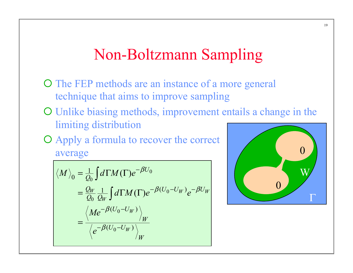### Non-Boltzmann Sampling

- O The FEP methods are an instance of a more general technique that aims to improve sampling
- ¡ Unlike biasing methods, improvement entails a change in the limiting distribution
- ¡ Apply a formula to recover the correct average

$$
\langle M \rangle_0 = \frac{1}{Q_0} \int d\Gamma M(\Gamma) e^{-\beta U_0}
$$
  
=  $\frac{Q_W}{Q_0} \frac{1}{Q_W} \int d\Gamma M(\Gamma) e^{-\beta (U_0 - U_W)} e^{-\beta U_W}$   
=  $\frac{\langle Me^{-\beta (U_0 - U_W)} \rangle_W}{\langle e^{-\beta (U_0 - U_W)} \rangle_W}$ 

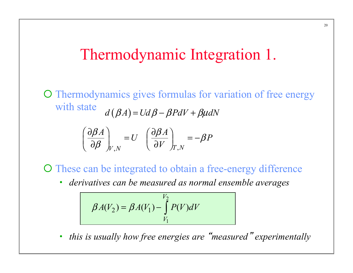### Thermodynamic Integration 1.

O Thermodynamics gives formulas for variation of free energy with state  $d (BA) = UdB - BPdV + B\mu dN$ 

$$
\left(\frac{\partial \beta A}{\partial \beta}\right)_{V,N} = U \left(\frac{\partial \beta A}{\partial V}\right)_{T,N} = -\beta P
$$

O These can be integrated to obtain a free-energy difference

• *derivatives can be measured as normal ensemble averages* 

$$
\beta A(V_2) = \beta A(V_1) - \int_{V_1}^{V_2} P(V) dV
$$

• *this is usually how free energies are* "*measured*" *experimentally*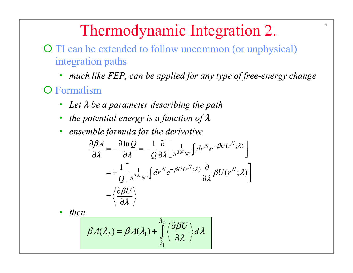## Thermodynamic Integration 2.

- O TI can be extended to follow uncommon (or unphysical) integration paths
	- *much like FEP, can be applied for any type of free-energy change*
- **O** Formalism
	- *Let* λ *be a parameter describing the path*
	- *the potential energy is a function of* λ
	- *ensemble formula for the derivative*

$$
\frac{\partial \beta A}{\partial \lambda} = -\frac{\partial \ln Q}{\partial \lambda} = -\frac{1}{Q} \frac{\partial}{\partial \lambda} \left[ \frac{1}{\Lambda^{3N} N!} \int dr^N e^{-\beta U(r^N; \lambda)} \right]
$$

$$
= +\frac{1}{Q} \left[ \frac{1}{\Lambda^{3N} N!} \int dr^N e^{-\beta U(r^N; \lambda)} \frac{\partial}{\partial \lambda} \beta U(r^N; \lambda) \right]
$$

$$
= \left\langle \frac{\partial \beta U}{\partial \lambda} \right\rangle
$$

• *then* 

$$
\beta A(\lambda_2) = \beta A(\lambda_1) + \int_{\lambda_1}^{\lambda_2} \left\langle \frac{\partial \beta U}{\partial \lambda} \right\rangle d\lambda
$$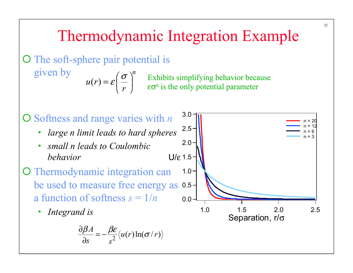## Thermodynamic Integration Example

O The soft-sphere pair potential is

given by

 $(r)$ *n*  $u(r)$ *r* σ ε

 $=\varepsilon\left(\frac{\sigma}{r}\right)^n$  Exhibits simplifying behavior because<br>  $\varepsilon\sigma^n$  is the only potential parameter  $\epsilon \sigma^n$  is the only potential parameter

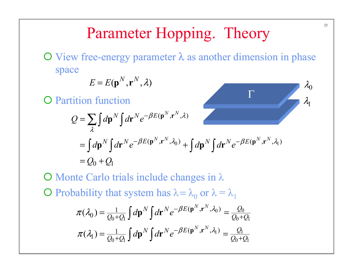## Parameter Hopping. Theory

 $\overline{O}$  View free-energy parameter  $\lambda$  as another dimension in phase space

Γ

$$
E = E(\mathbf{p}^N, \mathbf{r}^N, \lambda)
$$

**O** Partition function

$$
Q = \sum_{\lambda} \int d\mathbf{p}^{N} \int d\mathbf{r}^{N} e^{-\beta E(\mathbf{p}^{N}, \mathbf{r}^{N}, \lambda)}
$$
  
=  $\int d\mathbf{p}^{N} \int d\mathbf{r}^{N} e^{-\beta E(\mathbf{p}^{N}, \mathbf{r}^{N}, \lambda_{0})} + \int d\mathbf{p}^{N} \int d\mathbf{r}^{N} e^{-\beta E(\mathbf{p}^{N}, \mathbf{r}^{N}, \lambda_{1})}$   
=  $Q_{0} + Q_{1}$ 

 $\overline{O}$  Monte Carlo trials include changes in  $\lambda$  $\bigcirc$  Probability that system has  $\lambda = \lambda_0$  or  $\lambda = \lambda_1$  $\frac{0}{0}$  =  $\frac{Q_0}{1}$  $0 + Q_1 J$   $J$   $Q_0 + Q_1$  $x^{1} = \frac{y_1}{x_1}$  $0 + Q_1 J$   $J$   $J$   $Q_0 + Q_1$  $1 \equiv \int d\mathbf{n}^N \int d\mathbf{r}^N e^{-\beta E(\mathbf{p}^N,\mathbf{r}^N,\lambda_0)}$  $(\lambda_0)$  $1 \equiv \int d\mathbf{n}^N \int d\mathbf{r}^N e^{-\beta E(\mathbf{p}^N,\mathbf{r}^N,\lambda_1)}$  $(\lambda_1)$  $N \int d\mathbf{r} N e^{-\beta E(\mathbf{p}^N, \mathbf{r}^N, \lambda_0)} = Q$  $N \int_{\mathcal{A}} \mathbf{r} N e^{-\beta E(\mathbf{p}^N, \mathbf{r}^N, \lambda_1)} = Q$  $\pi(\lambda_0) = \frac{1}{Q_0 + Q_1} \int d\mathbf{p}^N \int d\mathbf{r}^N e^{-\beta E(\mathbf{p}^N, \mathbf{r}^N, \lambda_0)} = \frac{Q_0}{Q_0 + Q_0}$  $\pi(\lambda_1) = \frac{1}{Q_0 + Q_1} \int d\mathbf{p}^N \int d\mathbf{r}^N e^{-\beta E(\mathbf{p}^N, \mathbf{r}^N, \lambda_1)} = \frac{Q_1}{Q_0 + Q_1}$  $=\frac{1}{Q_0+Q_1}\int d{\bf p}^N\int d{\bf r}^N e^{-\beta E({\bf p}^N,{\bf r}^N,\lambda_0)}=\frac{Q_0}{Q_0+Q_1}$  $=\frac{1}{Q_0+Q_1}\int d\mathbf{p}^N\int d\mathbf{r}^N e^{-\beta E(\mathbf{p}^N,\mathbf{r}^N,\lambda_1)}=\frac{Q_1}{Q_0+Q_1}$ 

 $\lambda_0$ 

 $\lambda_{1}$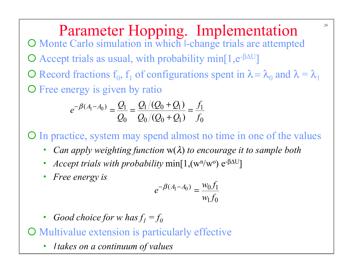Parameter Hopping. Implementation O Monte Carlo simulation in which l-change trials are attempted  $\bigcirc$  Accept trials as usual, with probability min[1,e<sup>-βΔU</sup>]  $\overline{O}$  Record fractions f<sub>0</sub>, f<sub>1</sub> of configurations spent in  $\lambda = \lambda_0$  and  $\lambda = \lambda_1$ O Free energy is given by ratio

$$
e^{-\beta(A_1-A_0)} = \frac{Q_1}{Q_0} = \frac{Q_1/(Q_0+Q_1)}{Q_0/(Q_0+Q_1)} = \frac{f_1}{f_0}
$$

¡ In practice, system may spend almost no time in one of the values

- *Can apply weighting function* w(λ) *to encourage it to sample both*
- *Accept trials with probability* min[1,(w<sup>n</sup>/w<sup>o</sup>) e<sup>- $\beta \Delta U$ </sup>]
- *Free energy is*

$$
e^{-\beta(A_1 - A_0)} = \frac{w_0 f_1}{w_1 f_0}
$$

- *Good choice for w has*  $f_1 = f_0$
- O Multivalue extension is particularly effective
	- <sup>l</sup> *takes on a continuum of values*